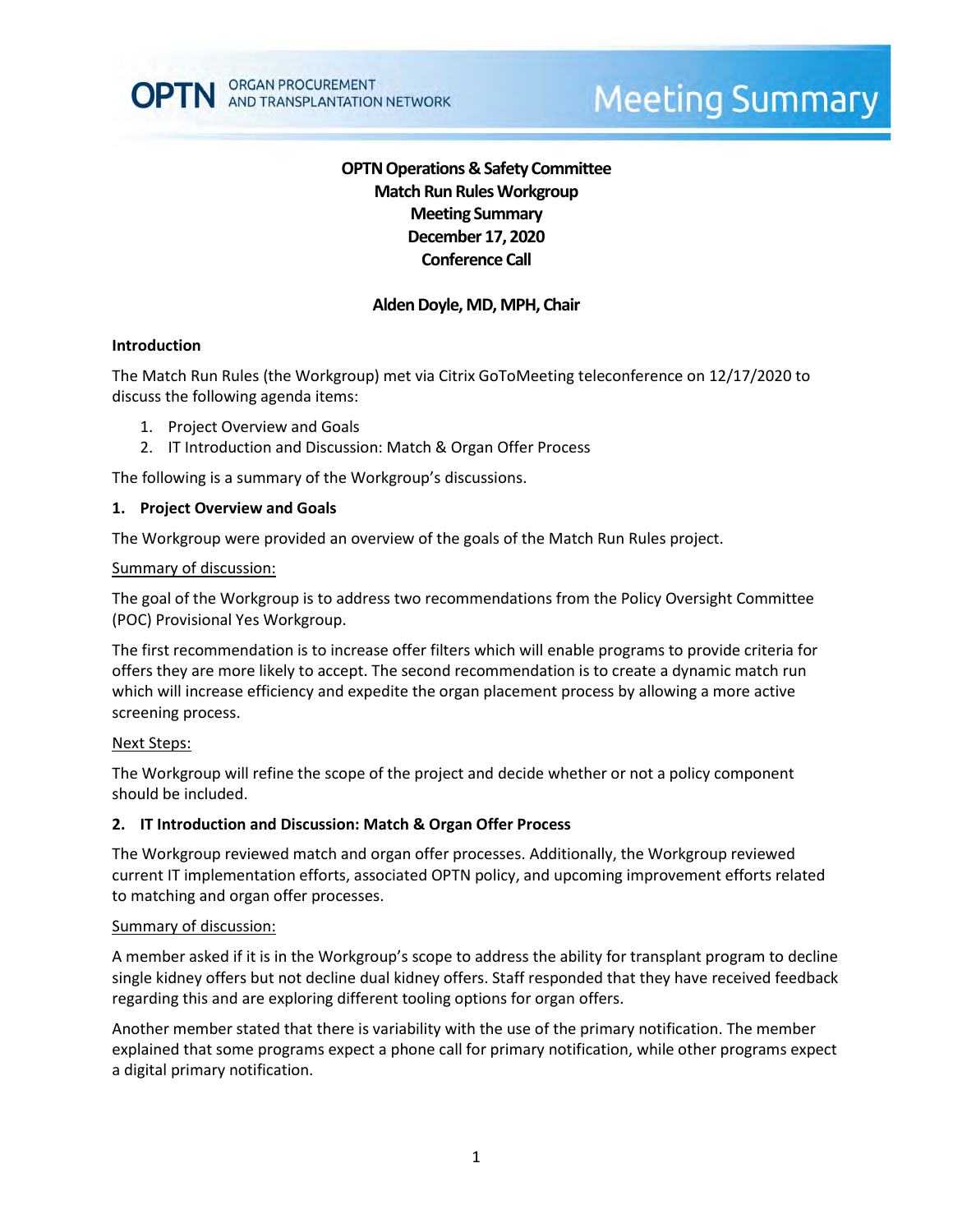# **OPTN Operations & Safety Committee Match Run RulesWorkgroup Meeting Summary December 17, 2020 Conference Call**

# **Alden Doyle, MD, MPH, Chair**

### **Introduction**

The Match Run Rules (the Workgroup) met via Citrix GoToMeeting teleconference on 12/17/2020 to discuss the following agenda items:

- 1. Project Overview and Goals
- 2. IT Introduction and Discussion: Match & Organ Offer Process

The following is a summary of the Workgroup's discussions.

#### **1. Project Overview and Goals**

The Workgroup were provided an overview of the goals of the Match Run Rules project.

#### Summary of discussion:

The goal of the Workgroup is to address two recommendations from the Policy Oversight Committee (POC) Provisional Yes Workgroup.

The first recommendation is to increase offer filters which will enable programs to provide criteria for offers they are more likely to accept. The second recommendation is to create a dynamic match run which will increase efficiency and expedite the organ placement process by allowing a more active screening process.

#### Next Steps:

The Workgroup will refine the scope of the project and decide whether or not a policy component should be included.

#### **2. IT Introduction and Discussion: Match & Organ Offer Process**

The Workgroup reviewed match and organ offer processes. Additionally, the Workgroup reviewed current IT implementation efforts, associated OPTN policy, and upcoming improvement efforts related to matching and organ offer processes.

#### Summary of discussion:

A member asked if it is in the Workgroup's scope to address the ability for transplant program to decline single kidney offers but not decline dual kidney offers. Staff responded that they have received feedback regarding this and are exploring different tooling options for organ offers.

Another member stated that there is variability with the use of the primary notification. The member explained that some programs expect a phone call for primary notification, while other programs expect a digital primary notification.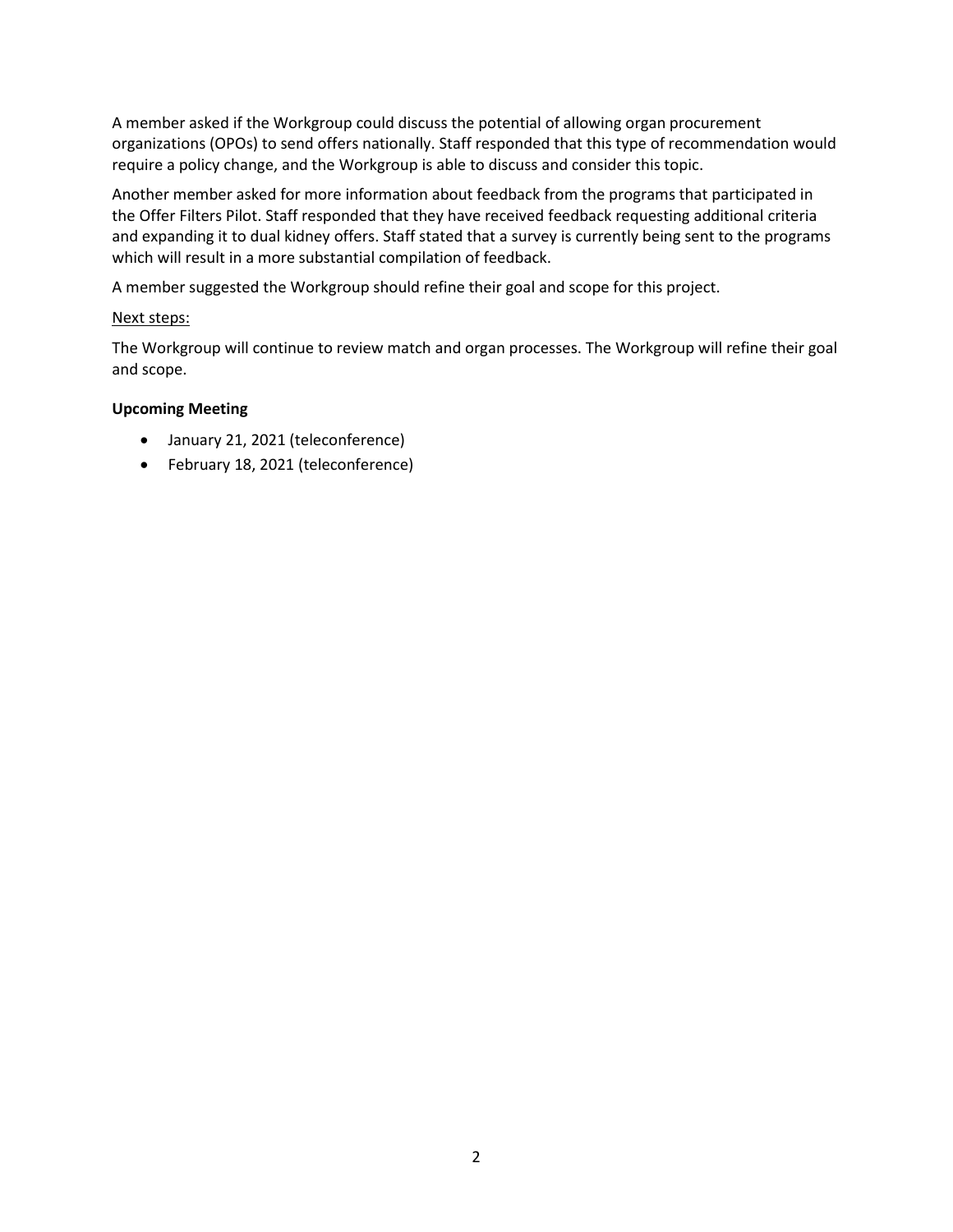A member asked if the Workgroup could discuss the potential of allowing organ procurement organizations (OPOs) to send offers nationally. Staff responded that this type of recommendation would require a policy change, and the Workgroup is able to discuss and consider this topic.

Another member asked for more information about feedback from the programs that participated in the Offer Filters Pilot. Staff responded that they have received feedback requesting additional criteria and expanding it to dual kidney offers. Staff stated that a survey is currently being sent to the programs which will result in a more substantial compilation of feedback.

A member suggested the Workgroup should refine their goal and scope for this project.

### Next steps:

The Workgroup will continue to review match and organ processes. The Workgroup will refine their goal and scope.

## **Upcoming Meeting**

- January 21, 2021 (teleconference)
- February 18, 2021 (teleconference)